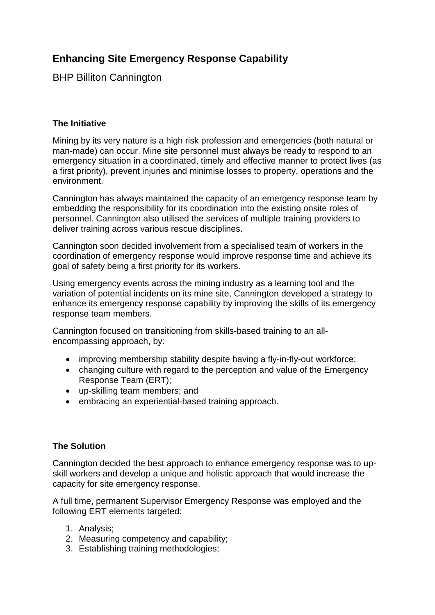# **Enhancing Site Emergency Response Capability**

BHP Billiton Cannington

### **The Initiative**

Mining by its very nature is a high risk profession and emergencies (both natural or man-made) can occur. Mine site personnel must always be ready to respond to an emergency situation in a coordinated, timely and effective manner to protect lives (as a first priority), prevent injuries and minimise losses to property, operations and the environment.

Cannington has always maintained the capacity of an emergency response team by embedding the responsibility for its coordination into the existing onsite roles of personnel. Cannington also utilised the services of multiple training providers to deliver training across various rescue disciplines.

Cannington soon decided involvement from a specialised team of workers in the coordination of emergency response would improve response time and achieve its goal of safety being a first priority for its workers.

Using emergency events across the mining industry as a learning tool and the variation of potential incidents on its mine site, Cannington developed a strategy to enhance its emergency response capability by improving the skills of its emergency response team members.

Cannington focused on transitioning from skills-based training to an allencompassing approach, by:

- improving membership stability despite having a fly-in-fly-out workforce;
- changing culture with regard to the perception and value of the Emergency Response Team (ERT);
- up-skilling team members; and
- embracing an experiential-based training approach.

### **The Solution**

Cannington decided the best approach to enhance emergency response was to upskill workers and develop a unique and holistic approach that would increase the capacity for site emergency response.

A full time, permanent Supervisor Emergency Response was employed and the following ERT elements targeted:

- 1. Analysis;
- 2. Measuring competency and capability;
- 3. Establishing training methodologies;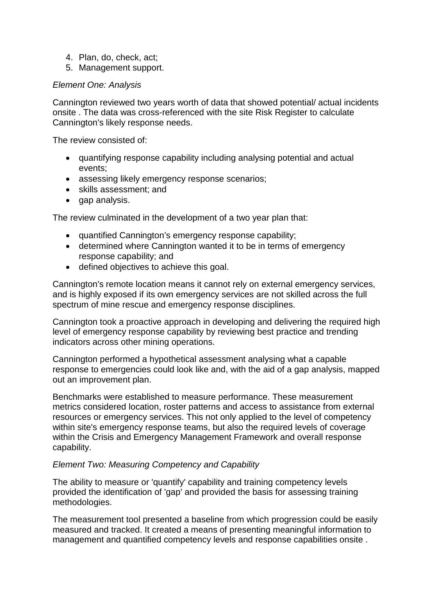- 4. Plan, do, check, act;
- 5. Management support.

### *Element One: Analysis*

Cannington reviewed two years worth of data that showed potential/ actual incidents onsite . The data was cross-referenced with the site Risk Register to calculate Cannington's likely response needs.

The review consisted of:

- quantifying response capability including analysing potential and actual events;
- assessing likely emergency response scenarios;
- skills assessment; and
- gap analysis.

The review culminated in the development of a two year plan that:

- quantified Cannington's emergency response capability;
- determined where Cannington wanted it to be in terms of emergency response capability; and
- defined objectives to achieve this goal.

Cannington's remote location means it cannot rely on external emergency services, and is highly exposed if its own emergency services are not skilled across the full spectrum of mine rescue and emergency response disciplines.

Cannington took a proactive approach in developing and delivering the required high level of emergency response capability by reviewing best practice and trending indicators across other mining operations.

Cannington performed a hypothetical assessment analysing what a capable response to emergencies could look like and, with the aid of a gap analysis, mapped out an improvement plan.

Benchmarks were established to measure performance. These measurement metrics considered location, roster patterns and access to assistance from external resources or emergency services. This not only applied to the level of competency within site's emergency response teams, but also the required levels of coverage within the Crisis and Emergency Management Framework and overall response capability.

### *Element Two: Measuring Competency and Capability*

The ability to measure or 'quantify' capability and training competency levels provided the identification of 'gap' and provided the basis for assessing training methodologies.

The measurement tool presented a baseline from which progression could be easily measured and tracked. It created a means of presenting meaningful information to management and quantified competency levels and response capabilities onsite .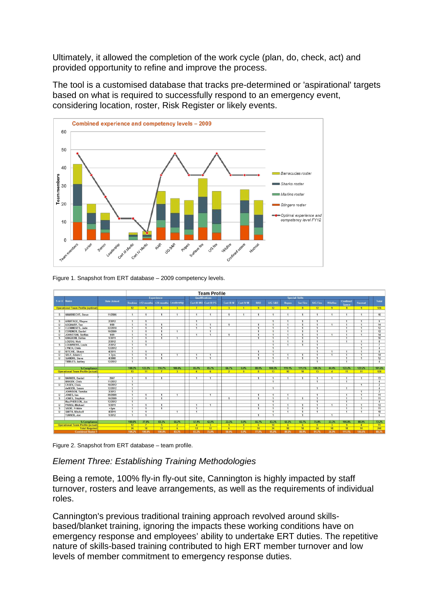Ultimately, it allowed the completion of the work cycle (plan, do, check, act) and provided opportunity to refine and improve the process.

The tool is a customised database that tracks pre-determined or 'aspirational' targets based on what is required to successfully respond to an emergency event, considering location, roster, Risk Register or likely events.



Figure 1. Snapshot from ERT database – 2009 competency levels.

|                                           |                                          |                    |                                  | <b>Team Profile</b>          |                                  |                |                                  |                         |                       |                |                                  |                                |                              |                                  |                                |                 |                                |                                |                |
|-------------------------------------------|------------------------------------------|--------------------|----------------------------------|------------------------------|----------------------------------|----------------|----------------------------------|-------------------------|-----------------------|----------------|----------------------------------|--------------------------------|------------------------------|----------------------------------|--------------------------------|-----------------|--------------------------------|--------------------------------|----------------|
|                                           |                                          |                    |                                  |                              | <b>Experience</b>                |                |                                  | Qualifications          | <b>Special Skills</b> |                |                                  |                                |                              |                                  |                                |                 |                                |                                |                |
| S or U Name                               |                                          | <b>Date Joined</b> | <b>Rookies</b>                   |                              | $>12$ months $>24$ months        | Leadership     |                                  | Cert III MR Cert III PS | Cert III M            | Cert IV M      | <b>RAR</b>                       | <b>U/G S&amp;R</b>             | <b>Ropes</b>                 | <b>Sur Fire</b>                  | <b>U/G Fire</b>                | <b>Wildfire</b> | Confined<br>Space              | Hazmat                         | Total          |
| <b>Operational Team Profile (optimal)</b> |                                          |                    | 12                               | 9                            | 6                                | $\overline{3}$ | $\overline{7}$                   | 7                       | $\overline{3}$        | 1              | 9                                | 12                             | 9                            | 9                                | 12                             | 9               | 9                              | 9                              | 126            |
|                                           |                                          |                    |                                  |                              |                                  |                |                                  |                         |                       |                |                                  |                                |                              |                                  |                                |                 |                                |                                |                |
| <sub>S</sub>                              | <b>HAMBRECHT, Steve</b>                  | 11/2006            | $\mathbf{1}$                     | $\overline{1}$               | $\overline{1}$                   | $\mathbf{1}$   | $\overline{1}$                   | $\mathbf{1}$            | $\mathbf{1}$          | $\mathbf{1}$   | $\overline{1}$                   | $\overline{1}$                 | $\mathbf{1}$                 | $\overline{1}$                   | $\mathbf{1}$                   | $\mathbf{1}$    | $\overline{1}$                 | $\mathbf{1}$                   | 16             |
| $\mathsf{s}$                              | <b>ARMITAGE, Wayne</b>                   | 2/2012             | $\blacksquare$                   | $\overline{1}$               |                                  |                | $\overline{1}$                   |                         |                       |                |                                  | $\overline{1}$                 | $\overline{1}$               | $\mathbf{1}$                     | $\overline{1}$                 |                 | $\overline{1}$                 | $\overline{1}$                 | 9              |
| $\mathbf{U}$                              | <b>ASGHARY, Taz</b>                      | 1/09               | $\overline{1}$                   | $\overline{1}$               | $\overline{1}$                   |                | $\overline{1}$                   | $\overline{1}$          | $\overline{1}$        |                | $\overline{1}$                   | $\overline{1}$                 | $\overline{1}$               | $\overline{1}$                   | $\mathbf{1}$                   | $\overline{1}$  | $\overline{1}$                 | $\overline{1}$                 | 14             |
| $\cup$                                    | <b>CLEMMENTS, Jade</b>                   | 02/2010            | $\mathbf{1}$                     | $\overline{1}$               | $\overline{1}$                   |                | $\overline{1}$                   | $\mathbf{1}$            |                       |                | $\overline{1}$                   | $\overline{1}$                 | $\overline{1}$               | $\overline{1}$                   | $\mathbf{1}$                   |                 | $\overline{1}$                 | $\overline{1}$                 | 12             |
| S                                         | <b>CORDNER, Daniel</b>                   | 10/2009            | $\blacksquare$                   | $\overline{1}$               | $\mathbf{1}$                     | $\mathbf{1}$   |                                  | $\mathbf{1}$            |                       |                | 1                                | $\overline{1}$                 | $\overline{1}$               | $\mathbf{1}$                     | $\mathbf{1}$                   |                 | $\mathbf{1}$                   | $\overline{1}$                 | 12             |
| $\mathbf{u}$                              | JOHNSTON, Steffan                        | 1/09               | $\blacksquare$                   | $\mathbf{1}$                 | $\overline{1}$                   |                | $\overline{1}$                   | $\mathbf{1}$            | $\overline{1}$        |                | $\overline{1}$                   | $\mathbf{1}$                   | $\overline{1}$               | $\mathbf{1}$                     | $\mathbf{1}$                   | $\overline{1}$  | $\mathbf{1}$                   | $\overline{1}$                 | 14             |
| S                                         | <b>KINGDOM, Dallas</b>                   | 1/2011             | $\mathbf{1}$                     | $\mathbf{1}$                 | $\overline{1}$                   | $\mathbf{1}$   |                                  |                         |                       |                | $\mathbf{1}$                     | $\mathbf{1}$                   | $\overline{1}$               | $\mathbf{1}$                     | $\mathbf{1}$                   |                 | $\mathbf{1}$                   |                                | 10             |
|                                           | <b>LOIZOU, Nick</b>                      | 2/2012             | $\mathbf{1}$                     | $\overline{1}$               |                                  |                |                                  |                         |                       |                |                                  | $\overline{1}$                 | $\overline{1}$               | $\overline{1}$                   | $\mathbf{1}$                   |                 | $\overline{1}$                 | $\overline{1}$                 | $\overline{8}$ |
| $\mathsf{s}$                              | <b>LOUWRENS, Louis</b>                   | 2/2012             | $\overline{1}$                   | $\overline{1}$               |                                  |                |                                  |                         |                       |                |                                  | $\overline{1}$                 | $\mathbf{1}$                 | $\overline{1}$                   | $\mathbf{1}$                   |                 |                                | $\overline{1}$                 | $\overline{7}$ |
|                                           | LYNCH, Chris                             | 12/2012            | $\blacksquare$                   |                              |                                  |                |                                  |                         |                       |                |                                  | $\overline{1}$                 |                              |                                  | $\overline{1}$                 |                 |                                | $\overline{1}$                 | $\overline{4}$ |
| $\mathbf{u}$                              | <b>RITCHIE, Shaun</b>                    | 4/2011             | $\overline{1}$                   | $\overline{1}$               |                                  |                |                                  |                         |                       |                | $\overline{1}$                   | $\overline{1}$                 |                              |                                  | $\overline{1}$                 | $\overline{1}$  | $\overline{1}$                 | $\overline{1}$                 | $\overline{8}$ |
| $\mathbf{u}$                              | SELF, Adam C                             | $+2yrs$            | $\overline{1}$                   | $\overline{1}$               | $\overline{1}$                   | $\overline{1}$ | $\overline{1}$                   | $\overline{1}$          |                       |                | $\overline{1}$                   | $\overline{1}$                 | $\overline{1}$               | $\overline{1}$                   | $\overline{1}$                 | $\overline{1}$  | $\overline{1}$                 | $\overline{1}$                 | 14             |
| $\mathbf{u}$                              | <b>SIANDRI, Steve</b>                    | 4/2008             | $\blacksquare$                   | $\mathbf{1}$                 | $\overline{1}$                   |                | $\overline{1}$                   | $\mathbf{1}$            |                       |                | $\overline{1}$                   | $\overline{1}$                 | $\mathbf{1}$                 | $\overline{1}$                   | $\mathbf{1}$                   |                 | $\mathbf{1}$                   | $\overline{1}$                 | 12             |
|                                           | <b>TIBBLES, Ashley</b>                   | 12/2012            | $\mathbf{1}$                     |                              |                                  |                |                                  |                         |                       |                |                                  | $\overline{1}$                 |                              |                                  | $\overline{1}$                 |                 | $\overline{1}$                 |                                | $\overline{4}$ |
|                                           |                                          |                    |                                  |                              |                                  |                |                                  |                         |                       |                |                                  |                                |                              |                                  |                                |                 |                                |                                |                |
|                                           | % Compliance                             |                    | 108.3%                           | 122.2%                       | 116.7%                           | 100.0%         | 85.7%                            | 85.7%                   | 66.7%                 | 0.0%           | 88.9%                            | 108.3%                         | 111.1%                       | 111.1%                           | 108.3%                         | 44.4%           | 122.2%                         | 122.2%                         | 101.6%         |
|                                           | <b>Operational Team Profile (actual)</b> |                    | 13                               | 11                           | $\overline{1}$                   | $\overline{3}$ | 6                                | 6                       | $\overline{2}$        | $\sqrt{2}$     | 8                                | 13                             | 10                           | 10                               | 13 <sup>°</sup>                | 4               | 11                             | 11                             | 128            |
|                                           |                                          |                    |                                  |                              |                                  |                |                                  |                         |                       |                |                                  |                                |                              |                                  |                                |                 |                                |                                |                |
| $\mathbf{u}$                              | <b>BARKER, Daniel</b>                    | 2007               | $\overline{1}$                   | $\overline{1}$               | $\overline{1}$                   |                | $\overline{1}$                   | $\overline{1}$          |                       |                | $\overline{1}$                   | $\overline{1}$                 | $\overline{1}$               | $\overline{1}$                   | $\mathbf{1}$                   | $\overline{1}$  | $\overline{1}$                 | $\overline{1}$                 | 13             |
|                                           | <b>BRIODY, Chris</b>                     | 11/2012            | $\mathbf{1}$                     |                              |                                  |                |                                  |                         |                       |                |                                  | $\mathbf{1}$                   |                              |                                  | $\mathbf{1}$                   |                 | $\mathbf{1}$                   |                                | $\overline{4}$ |
| $\mathbf{u}$                              | <b>CASEY, Chris</b>                      | 10/2012            | $\blacksquare$                   |                              |                                  |                |                                  |                         |                       |                |                                  |                                |                              |                                  |                                |                 |                                | $\mathbf{1}$                   | $\overline{2}$ |
|                                           | deBOER, Susan                            | 12/2012            | $\overline{1}$                   |                              |                                  |                |                                  |                         |                       |                |                                  | $\overline{1}$                 |                              |                                  | $\overline{1}$                 |                 | $\overline{1}$                 |                                | $\overline{4}$ |
|                                           | JOHNSON, Tamika                          | 3/2013             | $\mathbf{1}$                     |                              |                                  |                |                                  |                         |                       |                |                                  |                                |                              |                                  |                                |                 |                                | $\overline{1}$                 | $\overline{2}$ |
| $\mathbf{U}$                              | JONES, Jan                               | 09/2009            | $\mathbf{1}$                     | $\mathbf{1}$                 | $\mathbf{1}$                     | $\mathbf{1}$   |                                  | $\mathbf{1}$            |                       |                | $\mathbf{1}$                     | $\mathbf{1}$                   | $\mathbf{1}$                 |                                  | $\mathbf{1}$                   |                 | $\mathbf{1}$                   | $\overline{1}$                 | 11             |
| <sub>S</sub>                              | JONES, Stephen                           | 10/2009            | $\overline{1}$                   | $\overline{1}$               | $\overline{1}$                   |                |                                  |                         | $\overline{1}$        |                | $\overline{1}$                   | $\overline{1}$                 | $\overline{1}$               | $\mathbf{1}$                     | $\overline{1}$                 |                 | $\mathbf{1}$                   | $\mathbf{1}$                   | 11             |
|                                           | MacPHERSON, Jon                          | 12/2012            | $\blacksquare$                   |                              |                                  |                |                                  |                         |                       |                |                                  | $\overline{1}$                 |                              |                                  | $\overline{1}$                 |                 | $\overline{1}$                 |                                | $\overline{4}$ |
| $\mathbf{u}$                              | PARISI, Michael<br><b>SADIE, Frikkie</b> | 1/2011             | $\overline{1}$<br>$\blacksquare$ | $\mathbf{1}$<br>$\mathbf{1}$ | $\overline{1}$<br>$\overline{1}$ |                | $\overline{1}$<br>$\overline{1}$ | $\overline{1}$          |                       |                | $\overline{1}$<br>$\overline{1}$ | $\overline{1}$<br>$\mathbf{1}$ | $\mathbf{1}$<br>$\mathbf{1}$ | $\overline{1}$<br>$\overline{1}$ | $\overline{1}$<br>$\mathbf{1}$ | $\overline{1}$  | $\overline{1}$<br>$\mathbf{1}$ | $\overline{1}$<br>$\mathbf{1}$ | 13<br>11       |
| $\mathsf{s}$                              | SMITH, Mitchell                          | $+2yrs$<br>4/2011  | $\blacksquare$                   | $\overline{1}$               |                                  | $\overline{1}$ |                                  |                         |                       |                |                                  | $\overline{1}$                 | $\overline{1}$               |                                  | $\overline{1}$                 |                 | $\overline{1}$                 | $\mathbf{1}$                   |                |
| $\mathbf{u}$                              | <b>TURNER, Joe</b>                       | 1/2012             | $\overline{1}$                   | $\overline{1}$               |                                  |                | $\overline{1}$                   |                         |                       |                | 1                                | $\overline{1}$                 |                              | $\mathbf{1}$<br>$\overline{1}$   |                                | $\overline{1}$  |                                |                                | 10<br>6        |
|                                           |                                          |                    |                                  |                              |                                  |                |                                  |                         |                       |                |                                  |                                |                              |                                  |                                |                 |                                |                                |                |
|                                           | % Compliance                             |                    | 100.0%                           | 77.8%                        | 83.3%                            | 66.7%          | 57.1%                            | 42.9%                   | 33.3%                 | 0.0%           | 66.7%                            | 83.3%                          | 66.7%                        | 66.7%                            | 75.0%                          | 33.3%           | 100.0%                         | 88.9%                          | 72.2%          |
| <b>Operational Team Profile (actual)</b>  |                                          |                    | 12 <sup>1</sup>                  | $\overline{7}$               | 5 <sup>7</sup>                   | $\overline{2}$ | $\overline{4}$                   | $\overline{3}$          | $\overline{1}$        | $\overline{0}$ | 6                                | 10                             | $6 -$                        | 6                                | 9                              | $\overline{3}$  | $\overline{9}$                 | 8                              | 91             |
| <b>Total Required</b>                     |                                          |                    | 24                               | 18                           | 12                               | 6 <sup>2</sup> | 12                               | 12                      | 6                     | $\overline{2}$ | 18                               | 24                             | 18                           | 18                               | 24                             | 18              | 18                             | 18                             | 248            |
| <b>Combined Roster 1</b>                  |                                          | 104.2%             | 100.0%                           | 100.0%                       | 83.3%                            | 83.3%          | 75.0%                            | 50.0%                   | 0.0%                  | 77.8%          | 95.8%                            | 88.9%                          | 88.9%                        | 91.7%                            | 38.9%                          | 111.1%          | 105.6%                         | 88.3%                          |                |
|                                           |                                          |                    |                                  |                              |                                  |                |                                  |                         |                       |                |                                  |                                |                              |                                  |                                |                 |                                |                                |                |

Figure 2. Snapshot from ERT database – team profile.

# *Element Three: Establishing Training Methodologies*

Being a remote, 100% fly-in fly-out site, Cannington is highly impacted by staff turnover, rosters and leave arrangements, as well as the requirements of individual roles.

Cannington's previous traditional training approach revolved around skillsbased/blanket training, ignoring the impacts these working conditions have on emergency response and employees' ability to undertake ERT duties. The repetitive nature of skills-based training contributed to high ERT member turnover and low levels of member commitment to emergency response duties.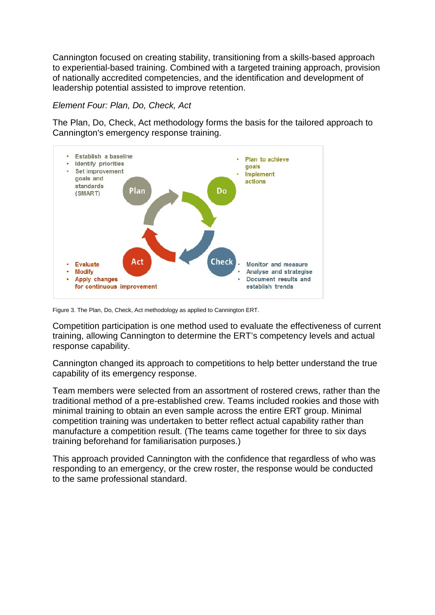Cannington focused on creating stability, transitioning from a skills-based approach to experiential-based training. Combined with a targeted training approach, provision of nationally accredited competencies, and the identification and development of leadership potential assisted to improve retention.

*Element Four: Plan, Do, Check, Act* 

The Plan, Do, Check, Act methodology forms the basis for the tailored approach to Cannington's emergency response training.



Figure 3. The Plan, Do, Check, Act methodology as applied to Cannington ERT.

Competition participation is one method used to evaluate the effectiveness of current training, allowing Cannington to determine the ERT's competency levels and actual response capability.

Cannington changed its approach to competitions to help better understand the true capability of its emergency response.

Team members were selected from an assortment of rostered crews, rather than the traditional method of a pre-established crew. Teams included rookies and those with minimal training to obtain an even sample across the entire ERT group. Minimal competition training was undertaken to better reflect actual capability rather than manufacture a competition result. (The teams came together for three to six days training beforehand for familiarisation purposes.)

This approach provided Cannington with the confidence that regardless of who was responding to an emergency, or the crew roster, the response would be conducted to the same professional standard.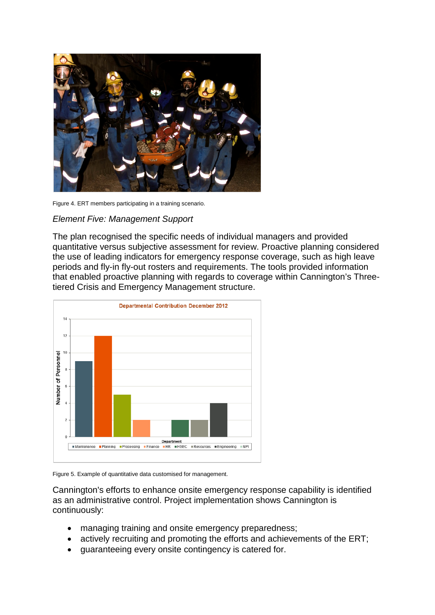

Figure 4. ERT members participating in a training scenario.

#### *Element Five: Management Support*

The plan recognised the specific needs of individual managers and provided quantitative versus subjective assessment for review. Proactive planning considered the use of leading indicators for emergency response coverage, such as high leave periods and fly-in fly-out rosters and requirements. The tools provided information that enabled proactive planning with regards to coverage within Cannington's Threetiered Crisis and Emergency Management structure.



Figure 5. Example of quantitative data customised for management.

Cannington's efforts to enhance onsite emergency response capability is identified as an administrative control. Project implementation shows Cannington is continuously:

- managing training and onsite emergency preparedness;
- actively recruiting and promoting the efforts and achievements of the ERT;
- guaranteeing every onsite contingency is catered for.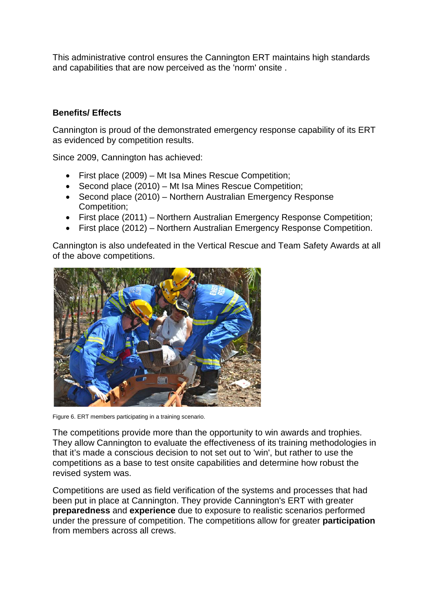This administrative control ensures the Cannington ERT maintains high standards and capabilities that are now perceived as the 'norm' onsite .

## **Benefits/ Effects**

Cannington is proud of the demonstrated emergency response capability of its ERT as evidenced by competition results.

Since 2009, Cannington has achieved:

- First place (2009) Mt Isa Mines Rescue Competition;
- Second place (2010) Mt Isa Mines Rescue Competition;
- Second place (2010) Northern Australian Emergency Response Competition;
- First place (2011) Northern Australian Emergency Response Competition;
- First place (2012) Northern Australian Emergency Response Competition.

Cannington is also undefeated in the Vertical Rescue and Team Safety Awards at all of the above competitions.



Figure 6. ERT members participating in a training scenario.

The competitions provide more than the opportunity to win awards and trophies. They allow Cannington to evaluate the effectiveness of its training methodologies in that it's made a conscious decision to not set out to 'win', but rather to use the competitions as a base to test onsite capabilities and determine how robust the revised system was.

Competitions are used as field verification of the systems and processes that had been put in place at Cannington. They provide Cannington's ERT with greater **preparedness** and **experience** due to exposure to realistic scenarios performed under the pressure of competition. The competitions allow for greater **participation** from members across all crews.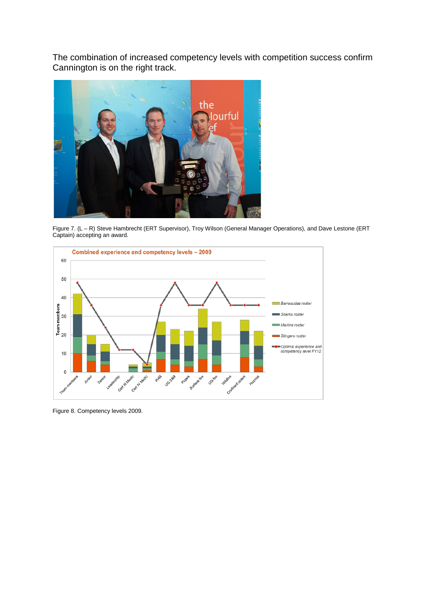The combination of increased competency levels with competition success confirm Cannington is on the right track.



Figure 7. (L – R) Steve Hambrecht (ERT Supervisor), Troy Wilson (General Manager Operations), and Dave Lestone (ERT Captain) accepting an award.



Figure 8. Competency levels 2009.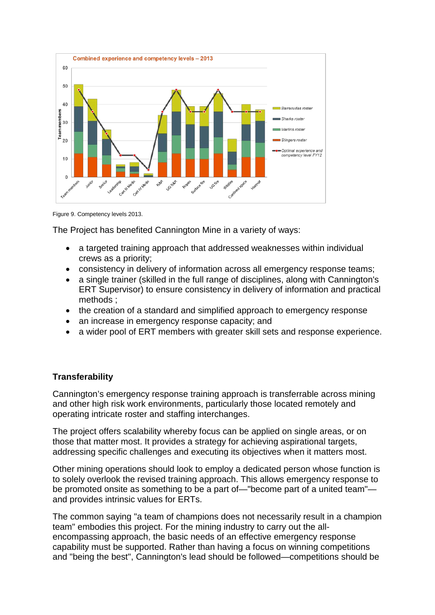

Figure 9. Competency levels 2013.

The Project has benefited Cannington Mine in a variety of ways:

- a targeted training approach that addressed weaknesses within individual crews as a priority;
- consistency in delivery of information across all emergency response teams;
- a single trainer (skilled in the full range of disciplines, along with Cannington's ERT Supervisor) to ensure consistency in delivery of information and practical methods ;
- the creation of a standard and simplified approach to emergency response
- an increase in emergency response capacity; and
- a wider pool of ERT members with greater skill sets and response experience.

### **Transferability**

Cannington's emergency response training approach is transferrable across mining and other high risk work environments, particularly those located remotely and operating intricate roster and staffing interchanges.

The project offers scalability whereby focus can be applied on single areas, or on those that matter most. It provides a strategy for achieving aspirational targets, addressing specific challenges and executing its objectives when it matters most.

Other mining operations should look to employ a dedicated person whose function is to solely overlook the revised training approach. This allows emergency response to be promoted onsite as something to be a part of—"become part of a united team" and provides intrinsic values for ERTs.

The common saying "a team of champions does not necessarily result in a champion team" embodies this project. For the mining industry to carry out the allencompassing approach, the basic needs of an effective emergency response capability must be supported. Rather than having a focus on winning competitions and "being the best", Cannington's lead should be followed—competitions should be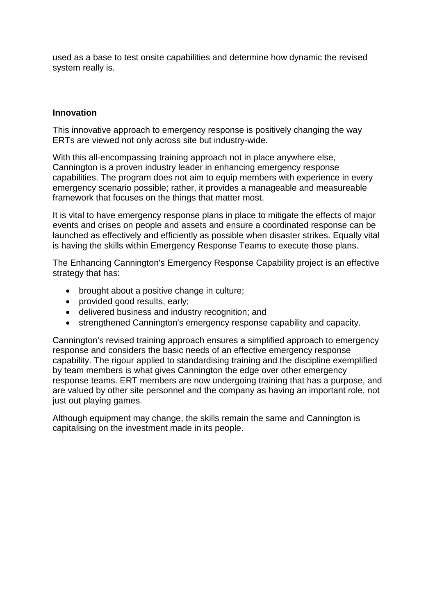used as a base to test onsite capabilities and determine how dynamic the revised system really is.

#### **Innovation**

This innovative approach to emergency response is positively changing the way ERTs are viewed not only across site but industry-wide.

With this all-encompassing training approach not in place anywhere else, Cannington is a proven industry leader in enhancing emergency response capabilities. The program does not aim to equip members with experience in every emergency scenario possible; rather, it provides a manageable and measureable framework that focuses on the things that matter most.

It is vital to have emergency response plans in place to mitigate the effects of major events and crises on people and assets and ensure a coordinated response can be launched as effectively and efficiently as possible when disaster strikes. Equally vital is having the skills within Emergency Response Teams to execute those plans.

The Enhancing Cannington's Emergency Response Capability project is an effective strategy that has:

- brought about a positive change in culture;
- provided good results, early;
- delivered business and industry recognition; and
- strengthened Cannington's emergency response capability and capacity.

Cannington's revised training approach ensures a simplified approach to emergency response and considers the basic needs of an effective emergency response capability. The rigour applied to standardising training and the discipline exemplified by team members is what gives Cannington the edge over other emergency response teams. ERT members are now undergoing training that has a purpose, and are valued by other site personnel and the company as having an important role, not just out playing games.

Although equipment may change, the skills remain the same and Cannington is capitalising on the investment made in its people.